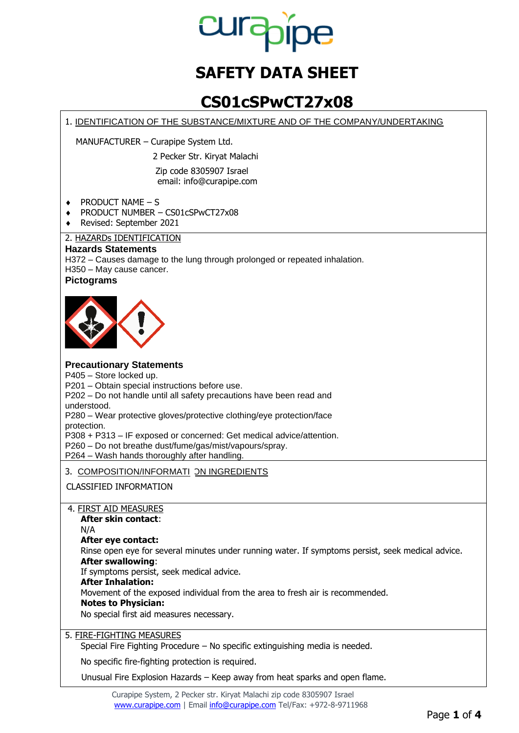

# **SAFETY DATA SHEET**

## **CS01cSPwCT27x08**

1. IDENTIFICATION OF THE SUBSTANCE/MIXTURE AND OF THE COMPANY/UNDERTAKING

MANUFACTURER – Curapipe System Ltd.

2 Pecker Str. Kiryat Malachi

Zip code 8305907 Israel email: [info@curapipe.com](mailto:info@curapipe.com)

 $\triangleleft$  PRODUCT NAME – S

- ♦ PRODUCT NUMBER CS01cSPwCT27x08
- ♦ Revised: September 2021

## 2. HAZARDs IDENTIFICATION

### **Hazards Statements**

H372 – Causes damage to the lung through prolonged or repeated inhalation. H350 – May cause cancer. **Pictograms**



## **Precautionary Statements**

P405 – Store locked up.

P201 – Obtain special instructions before use.

P202 – Do not handle until all safety precautions have been read and understood.

P280 – Wear protective gloves/protective clothing/eye protection/face protection.

P308 + P313 – IF exposed or concerned: Get medical advice/attention.

P260 – Do not breathe dust/fume/gas/mist/vapours/spray.

P264 – Wash hands thoroughly after handling.

#### 3. <u>COMPOSITION/INFORMATI</u> <u>ON INGREDIENTS</u>

CLASSIFIED INFORMATION

#### 4. FIRST AID MEASURES

**After skin contact**:

N/A

#### **After eye contact:**

Rinse open eye for several minutes under running water. If symptoms persist, seek medical advice. **After swallowing**:

If symptoms persist, seek medical advice.

#### **After Inhalation:**

Movement of the exposed individual from the area to fresh air is recommended.

#### **Notes to Physician:**

No special first aid measures necessary.

5. FIRE-FIGHTING MEASURES

Special Fire Fighting Procedure – No specific extinguishing media is needed.

No specific fire-fighting protection is required.

Unusual Fire Explosion Hazards – Keep away from heat sparks and open flame.

Curapipe System, 2 Pecker str. Kiryat Malachi zip code 8305907 Israel [www.curapipe.com](http://www.curapipe.com/) | Email [info@curapipe.com](mailto:info@curapipe.com) Tel/Fax: +972-8-9711968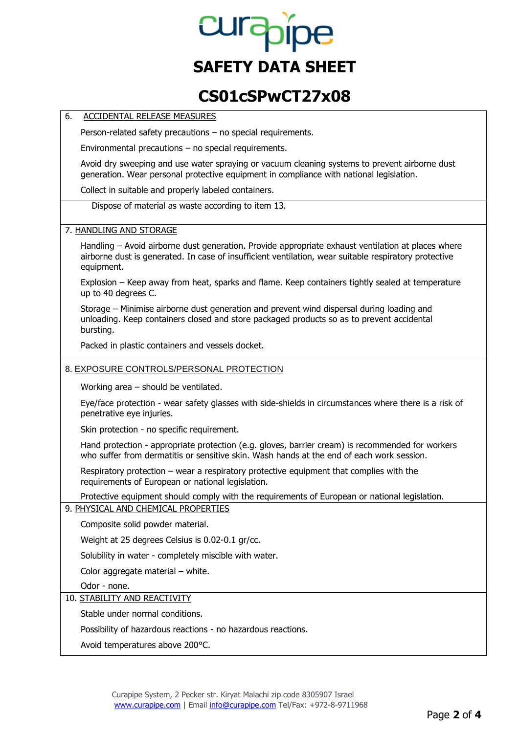# **Lurapipe SAFETY DATA SHEET**

## **CS01cSPwCT27x08**

#### 6. ACCIDENTAL RELEASE MEASURES

Person-related safety precautions – no special requirements.

Environmental precautions – no special requirements.

Avoid dry sweeping and use water spraying or vacuum cleaning systems to prevent airborne dust generation. Wear personal protective equipment in compliance with national legislation.

Collect in suitable and properly labeled containers.

Dispose of material as waste according to item 13.

#### 7. HANDLING AND STORAGE

Handling – Avoid airborne dust generation. Provide appropriate exhaust ventilation at places where airborne dust is generated. In case of insufficient ventilation, wear suitable respiratory protective equipment.

Explosion – Keep away from heat, sparks and flame. Keep containers tightly sealed at temperature up to 40 degrees C.

Storage – Minimise airborne dust generation and prevent wind dispersal during loading and unloading. Keep containers closed and store packaged products so as to prevent accidental bursting.

Packed in plastic containers and vessels docket.

#### 8. EXPOSURE CONTROLS/PERSONAL PROTECTION

Working area – should be ventilated.

Eye/face protection - wear safety glasses with side-shields in circumstances where there is a risk of penetrative eye injuries.

Skin protection - no specific requirement.

Hand protection - appropriate protection (e.g. gloves, barrier cream) is recommended for workers who suffer from dermatitis or sensitive skin. Wash hands at the end of each work session.

Respiratory protection – wear a respiratory protective equipment that complies with the requirements of European or national legislation.

Protective equipment should comply with the requirements of European or national legislation.

#### 9. PHYSICAL AND CHEMICAL PROPERTIES

Composite solid powder material.

Weight at 25 degrees Celsius is 0.02-0.1 gr/cc.

Solubility in water - completely miscible with water.

Color aggregate material – white.

Odor - none.

## 10. STABILITY AND REACTIVITY

Stable under normal conditions.

Possibility of hazardous reactions - no hazardous reactions.

Avoid temperatures above 200°C.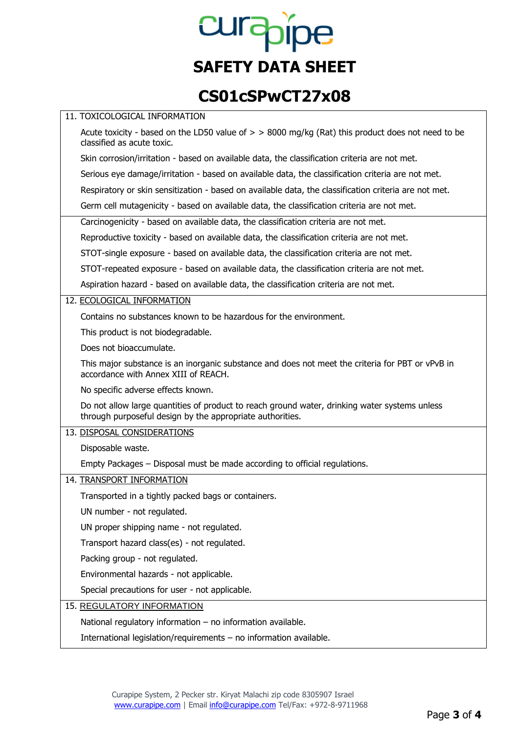# curapipe **SAFETY DATA SHEET**

# **CS01cSPwCT27x08**

| 11. TOXICOLOGICAL INFORMATION                                                                                                                              |
|------------------------------------------------------------------------------------------------------------------------------------------------------------|
| Acute toxicity - based on the LD50 value of $>$ > 8000 mg/kg (Rat) this product does not need to be<br>classified as acute toxic.                          |
| Skin corrosion/irritation - based on available data, the classification criteria are not met.                                                              |
| Serious eye damage/irritation - based on available data, the classification criteria are not met.                                                          |
| Respiratory or skin sensitization - based on available data, the classification criteria are not met.                                                      |
| Germ cell mutagenicity - based on available data, the classification criteria are not met.                                                                 |
| Carcinogenicity - based on available data, the classification criteria are not met.                                                                        |
| Reproductive toxicity - based on available data, the classification criteria are not met.                                                                  |
| STOT-single exposure - based on available data, the classification criteria are not met.                                                                   |
| STOT-repeated exposure - based on available data, the classification criteria are not met.                                                                 |
| Aspiration hazard - based on available data, the classification criteria are not met.                                                                      |
| 12. ECOLOGICAL INFORMATION                                                                                                                                 |
| Contains no substances known to be hazardous for the environment.                                                                                          |
| This product is not biodegradable.                                                                                                                         |
| Does not bioaccumulate.                                                                                                                                    |
| This major substance is an inorganic substance and does not meet the criteria for PBT or vPvB in<br>accordance with Annex XIII of REACH.                   |
| No specific adverse effects known.                                                                                                                         |
| Do not allow large quantities of product to reach ground water, drinking water systems unless<br>through purposeful design by the appropriate authorities. |
| 13. DISPOSAL CONSIDERATIONS                                                                                                                                |
| Disposable waste.                                                                                                                                          |
| Empty Packages – Disposal must be made according to official regulations.                                                                                  |
| 14. TRANSPORT INFORMATION                                                                                                                                  |
| Transported in a tightly packed bags or containers.                                                                                                        |
| UN number - not regulated.                                                                                                                                 |
| UN proper shipping name - not regulated.                                                                                                                   |
| Transport hazard class(es) - not regulated.                                                                                                                |
| Packing group - not regulated.                                                                                                                             |
| Environmental hazards - not applicable.                                                                                                                    |
| Special precautions for user - not applicable.                                                                                                             |
| 15. REGULATORY INFORMATION                                                                                                                                 |
| National regulatory information - no information available.                                                                                                |
| International legislation/requirements - no information available.                                                                                         |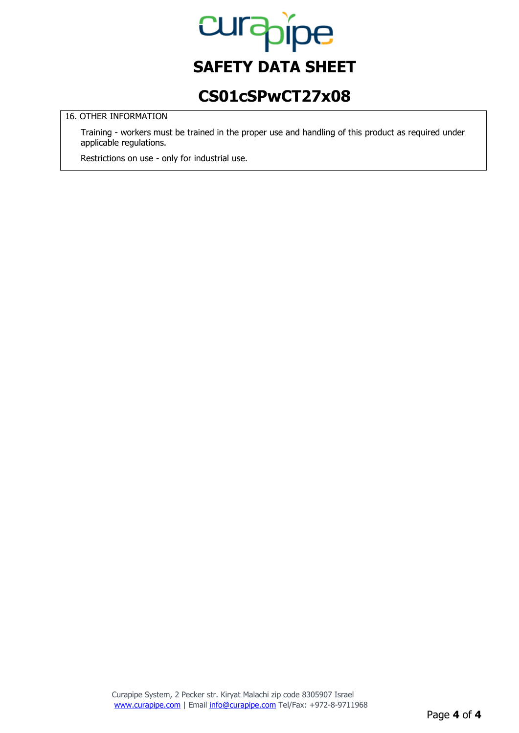

## **CS01cSPwCT27x08**

### 16. OTHER INFORMATION

Training - workers must be trained in the proper use and handling of this product as required under applicable regulations.

Restrictions on use - only for industrial use.